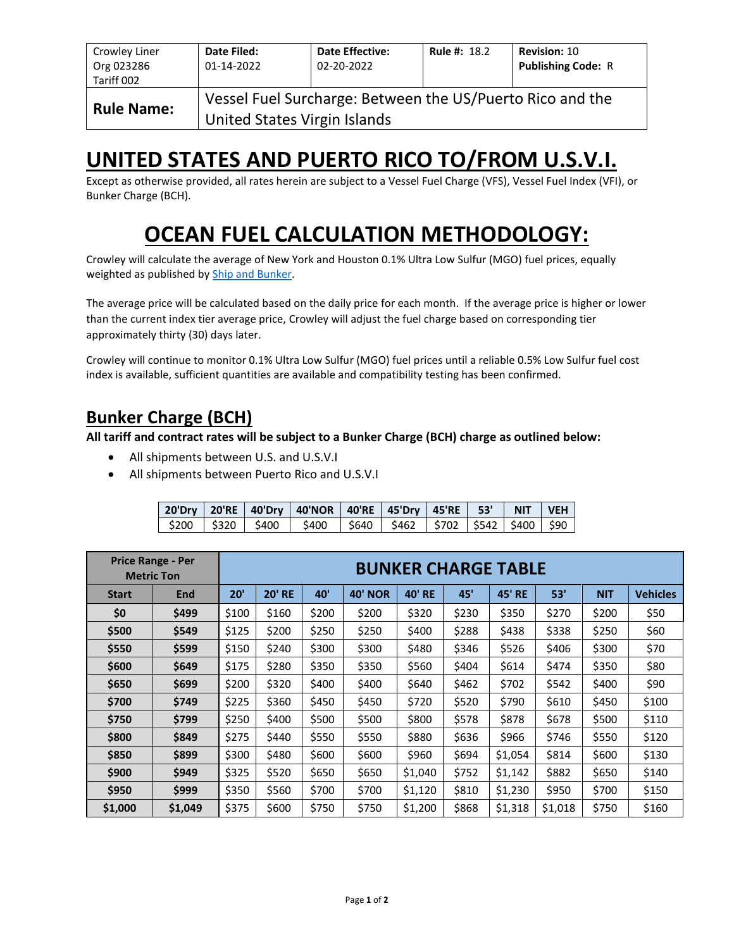| Crowley Liner<br>Org 023286<br>Tariff 002 | Date Filed:<br>01-14-2022                                                                 | <b>Date Effective:</b><br>02-20-2022 | <b>Rule #: 18.2</b> | <b>Revision: 10</b><br><b>Publishing Code: R</b> |  |  |  |  |  |
|-------------------------------------------|-------------------------------------------------------------------------------------------|--------------------------------------|---------------------|--------------------------------------------------|--|--|--|--|--|
| <b>Rule Name:</b>                         | Vessel Fuel Surcharge: Between the US/Puerto Rico and the<br>United States Virgin Islands |                                      |                     |                                                  |  |  |  |  |  |

# **UNITED STATES AND PUERTO RICO TO/FROM U.S.V.I.**

Except as otherwise provided, all rates herein are subject to a Vessel Fuel Charge (VFS), Vessel Fuel Index (VFI), or Bunker Charge (BCH).

# **OCEAN FUEL CALCULATION METHODOLOGY:**

Crowley will calculate the average of New York and Houston 0.1% Ultra Low Sulfur (MGO) fuel prices, equally weighted as published by [Ship and Bunker.](https://shipandbunker.com/)

The average price will be calculated based on the daily price for each month. If the average price is higher or lower than the current index tier average price, Crowley will adjust the fuel charge based on corresponding tier approximately thirty (30) days later.

Crowley will continue to monitor 0.1% Ultra Low Sulfur (MGO) fuel prices until a reliable 0.5% Low Sulfur fuel cost index is available, sufficient quantities are available and compatibility testing has been confirmed.

### **Bunker Charge (BCH)**

**All tariff and contract rates will be subject to a Bunker Charge (BCH) charge as outlined below:**

- All shipments between U.S. and U.S.V.I
- All shipments between Puerto Rico and U.S.V.I

|  | 20'Dry   20'RE   40'Dry   40'NOR   40'RE   45'Dry   45'RE   53'   NIT   VEH  |  |  |  |
|--|------------------------------------------------------------------------------|--|--|--|
|  | \$200   \$320   \$400   \$400   \$640   \$462   \$702   \$542   \$400   \$90 |  |  |  |

|              | <b>Price Range - Per</b><br><b>Metric Ton</b> | <b>BUNKER CHARGE TABLE</b> |               |       |                |               |       |               |         |            |                 |
|--------------|-----------------------------------------------|----------------------------|---------------|-------|----------------|---------------|-------|---------------|---------|------------|-----------------|
| <b>Start</b> | End                                           | 20'                        | <b>20' RE</b> | 40'   | <b>40' NOR</b> | <b>40' RE</b> | 45'   | <b>45' RE</b> | 53'     | <b>NIT</b> | <b>Vehicles</b> |
| \$0          | \$499                                         | \$100                      | \$160         | \$200 | \$200          | \$320         | \$230 | \$350         | \$270   | \$200      | \$50            |
| \$500        | \$549                                         | \$125                      | \$200         | \$250 | \$250          | \$400         | \$288 | \$438         | \$338   | \$250      | \$60            |
| \$550        | \$599                                         | \$150                      | \$240         | \$300 | \$300          | \$480         | \$346 | \$526         | \$406   | \$300      | \$70            |
| \$600        | \$649                                         | \$175                      | \$280         | \$350 | \$350          | \$560         | \$404 | \$614         | \$474   | \$350      | \$80            |
| \$650        | \$699                                         | \$200                      | \$320         | \$400 | \$400          | \$640         | \$462 | \$702         | \$542   | \$400      | \$90            |
| \$700        | \$749                                         | \$225                      | \$360         | \$450 | \$450          | \$720         | \$520 | \$790         | \$610   | \$450      | \$100           |
| \$750        | \$799                                         | \$250                      | \$400         | \$500 | \$500          | \$800         | \$578 | \$878         | \$678   | \$500      | \$110           |
| \$800        | \$849                                         | \$275                      | \$440         | \$550 | \$550          | \$880         | \$636 | \$966         | \$746   | \$550      | \$120           |
| \$850        | \$899                                         | \$300                      | \$480         | \$600 | \$600          | \$960         | \$694 | \$1,054       | \$814   | \$600      | \$130           |
| \$900        | \$949                                         | \$325                      | \$520         | \$650 | \$650          | \$1,040       | \$752 | \$1,142       | \$882   | \$650      | \$140           |
| \$950        | \$999                                         | \$350                      | \$560         | \$700 | \$700          | \$1,120       | \$810 | \$1,230       | \$950   | \$700      | \$150           |
| \$1,000      | \$1,049                                       | \$375                      | \$600         | \$750 | \$750          | \$1,200       | \$868 | \$1,318       | \$1,018 | \$750      | \$160           |